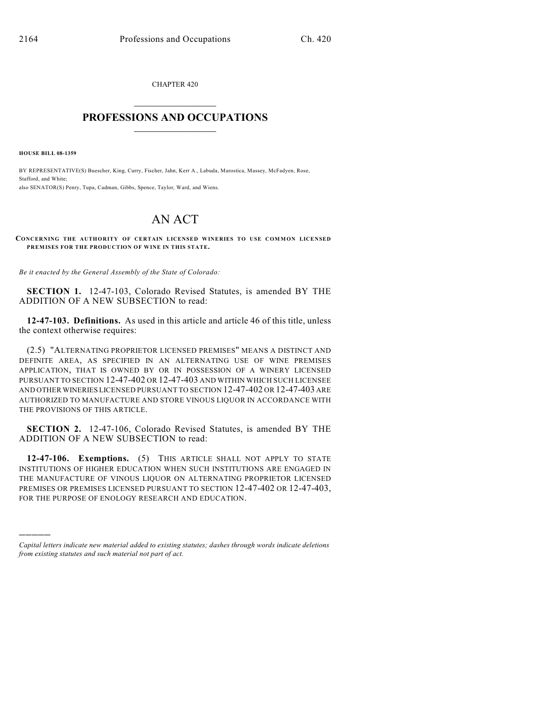CHAPTER 420

## $\mathcal{L}_\text{max}$  . The set of the set of the set of the set of the set of the set of the set of the set of the set of the set of the set of the set of the set of the set of the set of the set of the set of the set of the set **PROFESSIONS AND OCCUPATIONS**  $\frac{1}{2}$  ,  $\frac{1}{2}$  ,  $\frac{1}{2}$  ,  $\frac{1}{2}$  ,  $\frac{1}{2}$  ,  $\frac{1}{2}$

**HOUSE BILL 08-1359**

)))))

BY REPRESENTATIVE(S) Buescher, King, Curry, Fischer, Jahn, Kerr A., Labuda, Marostica, Massey, McFadyen, Rose, Stafford, and White; also SENATOR(S) Penry, Tupa, Cadman, Gibbs, Spence, Taylor, Ward, and Wiens.

## AN ACT

**CONCERNING THE AUTHORITY OF CERTAIN LICENSED WINERIES TO USE COMMON LICENSED PREMISES FOR THE PRODUCTION OF WINE IN THIS STATE.**

*Be it enacted by the General Assembly of the State of Colorado:*

**SECTION 1.** 12-47-103, Colorado Revised Statutes, is amended BY THE ADDITION OF A NEW SUBSECTION to read:

**12-47-103. Definitions.** As used in this article and article 46 of this title, unless the context otherwise requires:

(2.5) "ALTERNATING PROPRIETOR LICENSED PREMISES" MEANS A DISTINCT AND DEFINITE AREA, AS SPECIFIED IN AN ALTERNATING USE OF WINE PREMISES APPLICATION, THAT IS OWNED BY OR IN POSSESSION OF A WINERY LICENSED PURSUANT TO SECTION 12-47-402 OR 12-47-403 AND WITHIN WHICH SUCH LICENSEE AND OTHER WINERIES LICENSED PURSUANT TO SECTION 12-47-402 OR 12-47-403 ARE AUTHORIZED TO MANUFACTURE AND STORE VINOUS LIQUOR IN ACCORDANCE WITH THE PROVISIONS OF THIS ARTICLE.

**SECTION 2.** 12-47-106, Colorado Revised Statutes, is amended BY THE ADDITION OF A NEW SUBSECTION to read:

**12-47-106. Exemptions.** (5) THIS ARTICLE SHALL NOT APPLY TO STATE INSTITUTIONS OF HIGHER EDUCATION WHEN SUCH INSTITUTIONS ARE ENGAGED IN THE MANUFACTURE OF VINOUS LIQUOR ON ALTERNATING PROPRIETOR LICENSED PREMISES OR PREMISES LICENSED PURSUANT TO SECTION 12-47-402 OR 12-47-403, FOR THE PURPOSE OF ENOLOGY RESEARCH AND EDUCATION.

*Capital letters indicate new material added to existing statutes; dashes through words indicate deletions from existing statutes and such material not part of act.*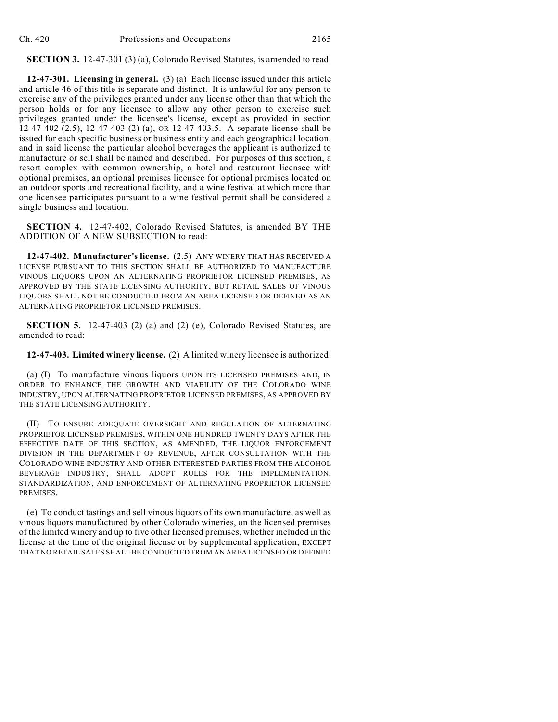**SECTION 3.** 12-47-301 (3) (a), Colorado Revised Statutes, is amended to read:

**12-47-301. Licensing in general.** (3) (a) Each license issued under this article and article 46 of this title is separate and distinct. It is unlawful for any person to exercise any of the privileges granted under any license other than that which the person holds or for any licensee to allow any other person to exercise such privileges granted under the licensee's license, except as provided in section 12-47-402 (2.5), 12-47-403 (2) (a), OR 12-47-403.5. A separate license shall be issued for each specific business or business entity and each geographical location, and in said license the particular alcohol beverages the applicant is authorized to manufacture or sell shall be named and described. For purposes of this section, a resort complex with common ownership, a hotel and restaurant licensee with optional premises, an optional premises licensee for optional premises located on an outdoor sports and recreational facility, and a wine festival at which more than one licensee participates pursuant to a wine festival permit shall be considered a single business and location.

**SECTION 4.** 12-47-402, Colorado Revised Statutes, is amended BY THE ADDITION OF A NEW SUBSECTION to read:

**12-47-402. Manufacturer's license.** (2.5) ANY WINERY THAT HAS RECEIVED A LICENSE PURSUANT TO THIS SECTION SHALL BE AUTHORIZED TO MANUFACTURE VINOUS LIQUORS UPON AN ALTERNATING PROPRIETOR LICENSED PREMISES, AS APPROVED BY THE STATE LICENSING AUTHORITY, BUT RETAIL SALES OF VINOUS LIQUORS SHALL NOT BE CONDUCTED FROM AN AREA LICENSED OR DEFINED AS AN ALTERNATING PROPRIETOR LICENSED PREMISES.

**SECTION 5.** 12-47-403 (2) (a) and (2) (e), Colorado Revised Statutes, are amended to read:

**12-47-403. Limited winery license.** (2) A limited winery licensee is authorized:

(a) (I) To manufacture vinous liquors UPON ITS LICENSED PREMISES AND, IN ORDER TO ENHANCE THE GROWTH AND VIABILITY OF THE COLORADO WINE INDUSTRY, UPON ALTERNATING PROPRIETOR LICENSED PREMISES, AS APPROVED BY THE STATE LICENSING AUTHORITY.

(II) TO ENSURE ADEQUATE OVERSIGHT AND REGULATION OF ALTERNATING PROPRIETOR LICENSED PREMISES, WITHIN ONE HUNDRED TWENTY DAYS AFTER THE EFFECTIVE DATE OF THIS SECTION, AS AMENDED, THE LIQUOR ENFORCEMENT DIVISION IN THE DEPARTMENT OF REVENUE, AFTER CONSULTATION WITH THE COLORADO WINE INDUSTRY AND OTHER INTERESTED PARTIES FROM THE ALCOHOL BEVERAGE INDUSTRY, SHALL ADOPT RULES FOR THE IMPLEMENTATION, STANDARDIZATION, AND ENFORCEMENT OF ALTERNATING PROPRIETOR LICENSED PREMISES.

(e) To conduct tastings and sell vinous liquors of its own manufacture, as well as vinous liquors manufactured by other Colorado wineries, on the licensed premises of the limited winery and up to five other licensed premises, whether included in the license at the time of the original license or by supplemental application; EXCEPT THAT NO RETAIL SALES SHALL BE CONDUCTED FROM AN AREA LICENSED OR DEFINED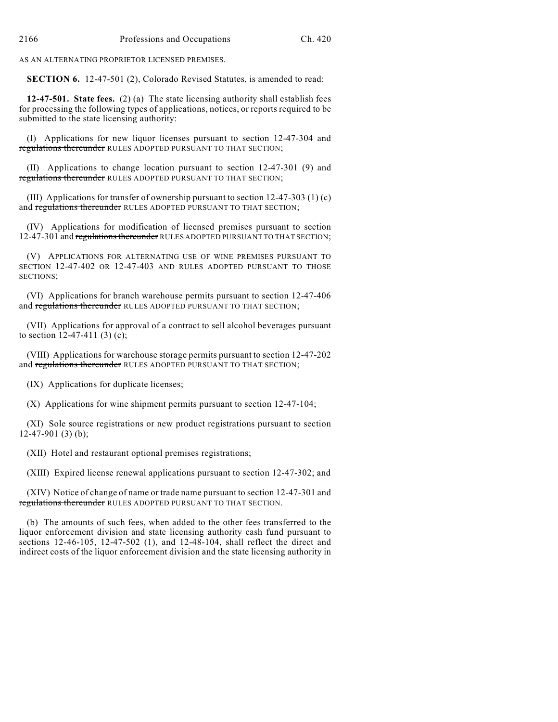AS AN ALTERNATING PROPRIETOR LICENSED PREMISES.

**SECTION 6.** 12-47-501 (2), Colorado Revised Statutes, is amended to read:

**12-47-501. State fees.** (2) (a) The state licensing authority shall establish fees for processing the following types of applications, notices, or reports required to be submitted to the state licensing authority:

(I) Applications for new liquor licenses pursuant to section 12-47-304 and regulations thereunder RULES ADOPTED PURSUANT TO THAT SECTION;

(II) Applications to change location pursuant to section 12-47-301 (9) and regulations thereunder RULES ADOPTED PURSUANT TO THAT SECTION;

(III) Applications for transfer of ownership pursuant to section  $12-47-303$  (1) (c) and regulations thereunder RULES ADOPTED PURSUANT TO THAT SECTION;

(IV) Applications for modification of licensed premises pursuant to section 12-47-301 and regulations thereunder RULES ADOPTED PURSUANT TO THAT SECTION;

(V) APPLICATIONS FOR ALTERNATING USE OF WINE PREMISES PURSUANT TO SECTION 12-47-402 OR 12-47-403 AND RULES ADOPTED PURSUANT TO THOSE SECTIONS;

(VI) Applications for branch warehouse permits pursuant to section 12-47-406 and regulations thereunder RULES ADOPTED PURSUANT TO THAT SECTION;

(VII) Applications for approval of a contract to sell alcohol beverages pursuant to section 12-47-411 (3) (c);

(VIII) Applications for warehouse storage permits pursuant to section 12-47-202 and regulations thereunder RULES ADOPTED PURSUANT TO THAT SECTION;

(IX) Applications for duplicate licenses;

(X) Applications for wine shipment permits pursuant to section 12-47-104;

(XI) Sole source registrations or new product registrations pursuant to section 12-47-901 (3) (b);

(XII) Hotel and restaurant optional premises registrations;

(XIII) Expired license renewal applications pursuant to section 12-47-302; and

(XIV) Notice of change of name or trade name pursuant to section 12-47-301 and regulations thereunder RULES ADOPTED PURSUANT TO THAT SECTION.

(b) The amounts of such fees, when added to the other fees transferred to the liquor enforcement division and state licensing authority cash fund pursuant to sections 12-46-105, 12-47-502 (1), and 12-48-104, shall reflect the direct and indirect costs of the liquor enforcement division and the state licensing authority in